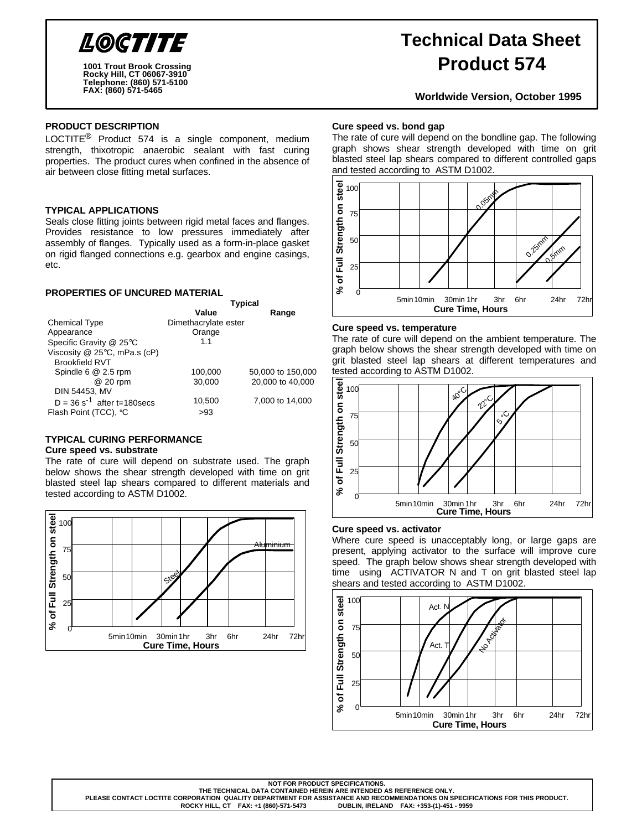

**Rocky Hill, CT 06067-3910 Telephone: (860) 571-5100 FAX: (860) 571-5465 1001 Trout Brook Crossing**

# **Technical Data Sheet Product 574**

**Worldwide Version, October 1995**

### **PRODUCT DESCRIPTION**

LOCTITE<sup>®</sup> Product 574 is a single component, medium strength, thixotropic anaerobic sealant with fast curing properties. The product cures when confined in the absence of air between close fitting metal surfaces.

#### **TYPICAL APPLICATIONS**

Seals close fitting joints between rigid metal faces and flanges. Provides resistance to low pressures immediately after assembly of flanges. Typically used as a form-in-place gasket on rigid flanged connections e.g. gearbox and engine casings, etc.

**Typical** 

#### **PROPERTIES OF UNCURED MATERIAL**

|                                           | i ypical             |                   |  |  |
|-------------------------------------------|----------------------|-------------------|--|--|
|                                           | Value                | Range             |  |  |
| <b>Chemical Type</b>                      | Dimethacrylate ester |                   |  |  |
| Appearance                                | Orange               |                   |  |  |
| Specific Gravity @ 25°C                   | 1.1                  |                   |  |  |
| Viscosity $@$ 25 $°C$ , mPa.s (cP)        |                      |                   |  |  |
| <b>Brookfield RVT</b>                     |                      |                   |  |  |
| Spindle 6 @ 2.5 rpm                       | 100,000              | 50,000 to 150,000 |  |  |
| @ 20 rpm                                  | 30.000               | 20,000 to 40,000  |  |  |
| DIN 54453, MV                             |                      |                   |  |  |
| $D = 36$ s <sup>-1</sup> after t=180 secs | 10,500               | 7,000 to 14,000   |  |  |
| Flash Point (TCC), °C                     | >93                  |                   |  |  |

## **TYPICAL CURING PERFORMANCE**

#### **Cure speed vs. substrate**

The rate of cure will depend on substrate used. The graph below shows the shear strength developed with time on grit blasted steel lap shears compared to different materials and tested according to ASTM D1002.



#### **Cure speed vs. bond gap**

The rate of cure will depend on the bondline gap. The following graph shows shear strength developed with time on grit blasted steel lap shears compared to different controlled gaps and tested according to ASTM D1002.



#### **Cure speed vs. temperature**

The rate of cure will depend on the ambient temperature. The graph below shows the shear strength developed with time on grit blasted steel lap shears at different temperatures and tested according to ASTM D1002.



#### **Cure speed vs. activator**

**ROCKY HILL, CT FAX: +1 (860)-571-5473 DUBLIN, IRELAND FAX: +353-(1)-451 - 9959**

Where cure speed is unacceptably long, or large gaps are present, applying activator to the surface will improve cure speed. The graph below shows shear strength developed with time using ACTIVATOR N and T on grit blasted steel lap shears and tested according to ASTM D1002.



**NOT FOR PRODUCT SPECIFICATIONS.**

**THE TECHNICAL DATA CONTAINED HEREIN ARE INTENDED AS REFERENCE ONLY.** PLEASE CONTACT LOCTITE CORPORATION QUALITY DEPARTMENT FOR ASSISTANCE AND RECOMMENDATIONS ON SPECIFICATIONS FOR THIS PRODUCT.<br>ROCKY HILL, CT FAX: +1 (860)-571-5473 DUBLIN, IRELAND FAX: +353-(1)-451 - 9959